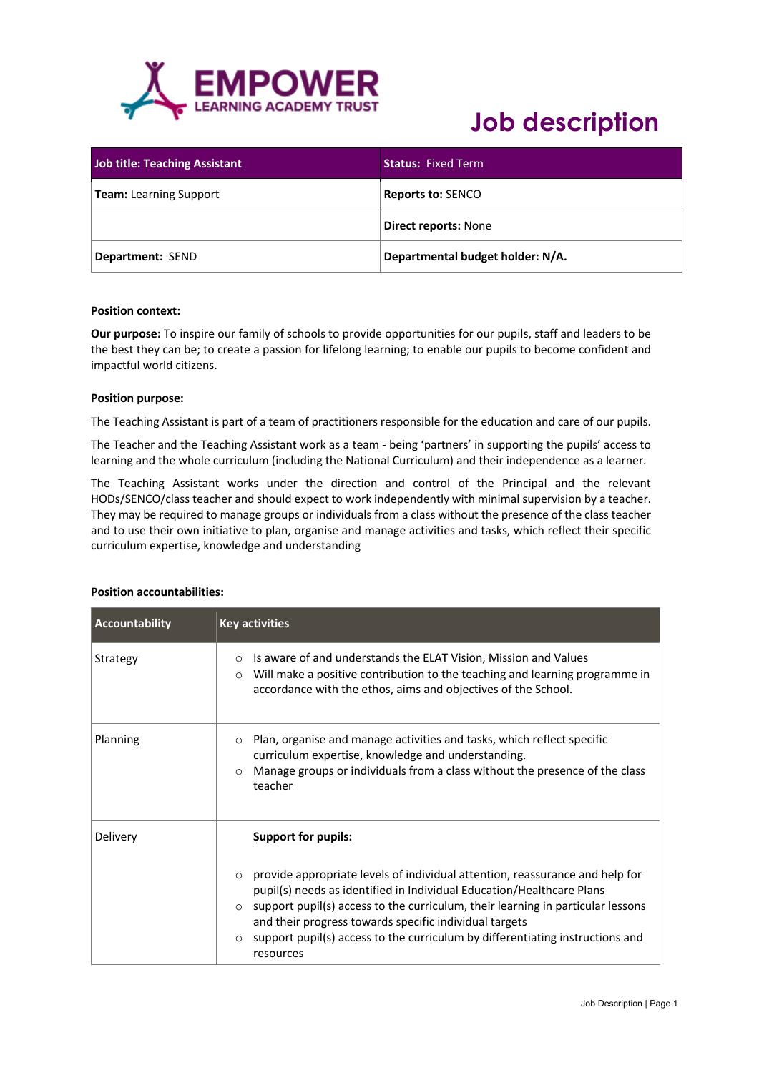

| <b>Job title: Teaching Assistant</b> | <b>Status: Fixed Term</b>        |
|--------------------------------------|----------------------------------|
| <b>Team:</b> Learning Support        | <b>Reports to: SENCO</b>         |
|                                      | <b>Direct reports: None</b>      |
| Department: SEND                     | Departmental budget holder: N/A. |

#### **Position context:**

**Our purpose:** To inspire our family of schools to provide opportunities for our pupils, staff and leaders to be the best they can be; to create a passion for lifelong learning; to enable our pupils to become confident and impactful world citizens.

#### **Position purpose:**

The Teaching Assistant is part of a team of practitioners responsible for the education and care of our pupils.

The Teacher and the Teaching Assistant work as a team - being 'partners' in supporting the pupils' access to learning and the whole curriculum (including the National Curriculum) and their independence as a learner.

The Teaching Assistant works under the direction and control of the Principal and the relevant HODs/SENCO/class teacher and should expect to work independently with minimal supervision by a teacher. They may be required to manage groups or individuals from a class without the presence of the class teacher and to use their own initiative to plan, organise and manage activities and tasks, which reflect their specific curriculum expertise, knowledge and understanding

| <b>Accountability</b> | <b>Key activities</b>                                                                                                                                                                                                                                                                                                                                                                                                       |
|-----------------------|-----------------------------------------------------------------------------------------------------------------------------------------------------------------------------------------------------------------------------------------------------------------------------------------------------------------------------------------------------------------------------------------------------------------------------|
| Strategy              | Is aware of and understands the ELAT Vision, Mission and Values<br>$\circ$<br>Will make a positive contribution to the teaching and learning programme in<br>$\circ$<br>accordance with the ethos, aims and objectives of the School.                                                                                                                                                                                       |
| <b>Planning</b>       | Plan, organise and manage activities and tasks, which reflect specific<br>$\circ$<br>curriculum expertise, knowledge and understanding.<br>Manage groups or individuals from a class without the presence of the class<br>$\circ$<br>teacher                                                                                                                                                                                |
| Delivery              | <b>Support for pupils:</b>                                                                                                                                                                                                                                                                                                                                                                                                  |
|                       | $\circ$ provide appropriate levels of individual attention, reassurance and help for<br>pupil(s) needs as identified in Individual Education/Healthcare Plans<br>$\circ$ support pupil(s) access to the curriculum, their learning in particular lessons<br>and their progress towards specific individual targets<br>support pupil(s) access to the curriculum by differentiating instructions and<br>$\circ$<br>resources |

### **Position accountabilities:**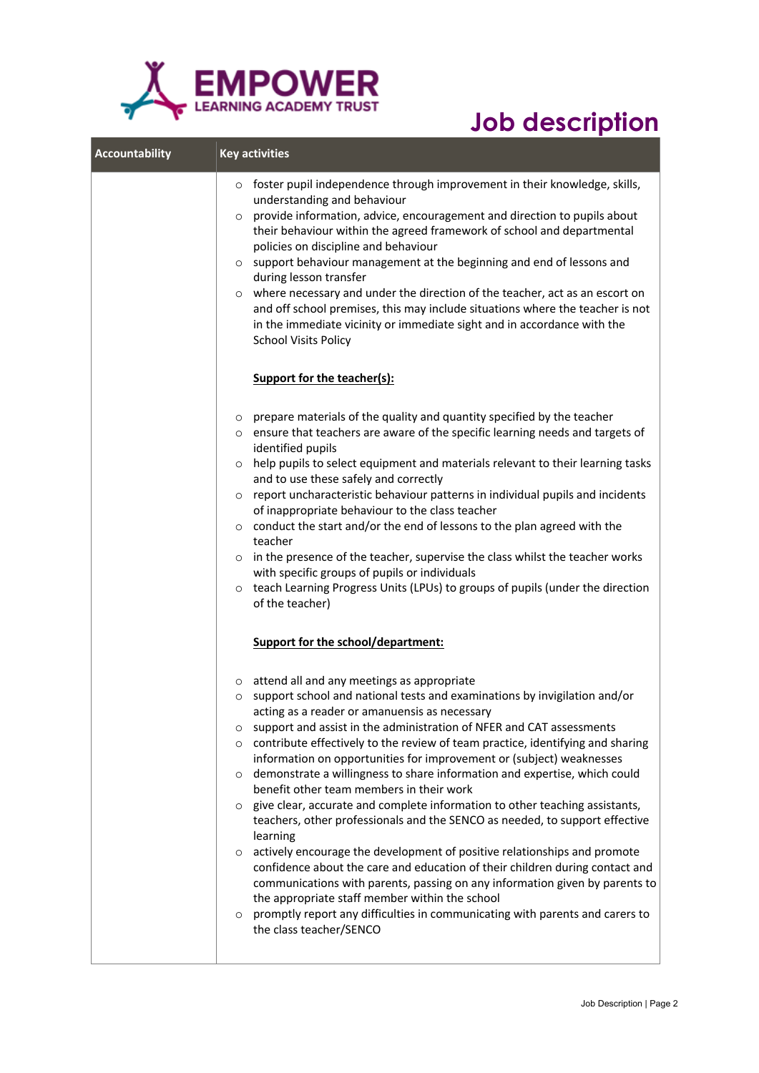

| <b>Accountability</b> | <b>Key activities</b>                                                                                                                                                                                                                                                                                                                                                                                                                                                                                                                                                                                                                                                                                                                                                                                                                                                                                                                                                                                                                                                                                                                                                                                   |
|-----------------------|---------------------------------------------------------------------------------------------------------------------------------------------------------------------------------------------------------------------------------------------------------------------------------------------------------------------------------------------------------------------------------------------------------------------------------------------------------------------------------------------------------------------------------------------------------------------------------------------------------------------------------------------------------------------------------------------------------------------------------------------------------------------------------------------------------------------------------------------------------------------------------------------------------------------------------------------------------------------------------------------------------------------------------------------------------------------------------------------------------------------------------------------------------------------------------------------------------|
|                       | foster pupil independence through improvement in their knowledge, skills,<br>$\circ$<br>understanding and behaviour<br>provide information, advice, encouragement and direction to pupils about<br>$\circ$<br>their behaviour within the agreed framework of school and departmental<br>policies on discipline and behaviour<br>support behaviour management at the beginning and end of lessons and<br>$\circ$<br>during lesson transfer<br>where necessary and under the direction of the teacher, act as an escort on<br>$\circ$<br>and off school premises, this may include situations where the teacher is not<br>in the immediate vicinity or immediate sight and in accordance with the<br><b>School Visits Policy</b>                                                                                                                                                                                                                                                                                                                                                                                                                                                                          |
|                       | <b>Support for the teacher(s):</b>                                                                                                                                                                                                                                                                                                                                                                                                                                                                                                                                                                                                                                                                                                                                                                                                                                                                                                                                                                                                                                                                                                                                                                      |
|                       | prepare materials of the quality and quantity specified by the teacher<br>$\circ$<br>ensure that teachers are aware of the specific learning needs and targets of<br>$\circ$<br>identified pupils<br>help pupils to select equipment and materials relevant to their learning tasks<br>$\circ$<br>and to use these safely and correctly<br>report uncharacteristic behaviour patterns in individual pupils and incidents<br>$\circ$<br>of inappropriate behaviour to the class teacher<br>o conduct the start and/or the end of lessons to the plan agreed with the<br>teacher<br>in the presence of the teacher, supervise the class whilst the teacher works<br>$\circ$<br>with specific groups of pupils or individuals<br>teach Learning Progress Units (LPUs) to groups of pupils (under the direction<br>$\circ$<br>of the teacher)                                                                                                                                                                                                                                                                                                                                                               |
|                       | Support for the school/department:                                                                                                                                                                                                                                                                                                                                                                                                                                                                                                                                                                                                                                                                                                                                                                                                                                                                                                                                                                                                                                                                                                                                                                      |
|                       | attend all and any meetings as appropriate<br>$\circ$<br>support school and national tests and examinations by invigilation and/or<br>$\circ$<br>acting as a reader or amanuensis as necessary<br>support and assist in the administration of NFER and CAT assessments<br>O<br>contribute effectively to the review of team practice, identifying and sharing<br>$\circ$<br>information on opportunities for improvement or (subject) weaknesses<br>demonstrate a willingness to share information and expertise, which could<br>$\circ$<br>benefit other team members in their work<br>give clear, accurate and complete information to other teaching assistants,<br>$\circ$<br>teachers, other professionals and the SENCO as needed, to support effective<br>learning<br>actively encourage the development of positive relationships and promote<br>$\circ$<br>confidence about the care and education of their children during contact and<br>communications with parents, passing on any information given by parents to<br>the appropriate staff member within the school<br>promptly report any difficulties in communicating with parents and carers to<br>$\circ$<br>the class teacher/SENCO |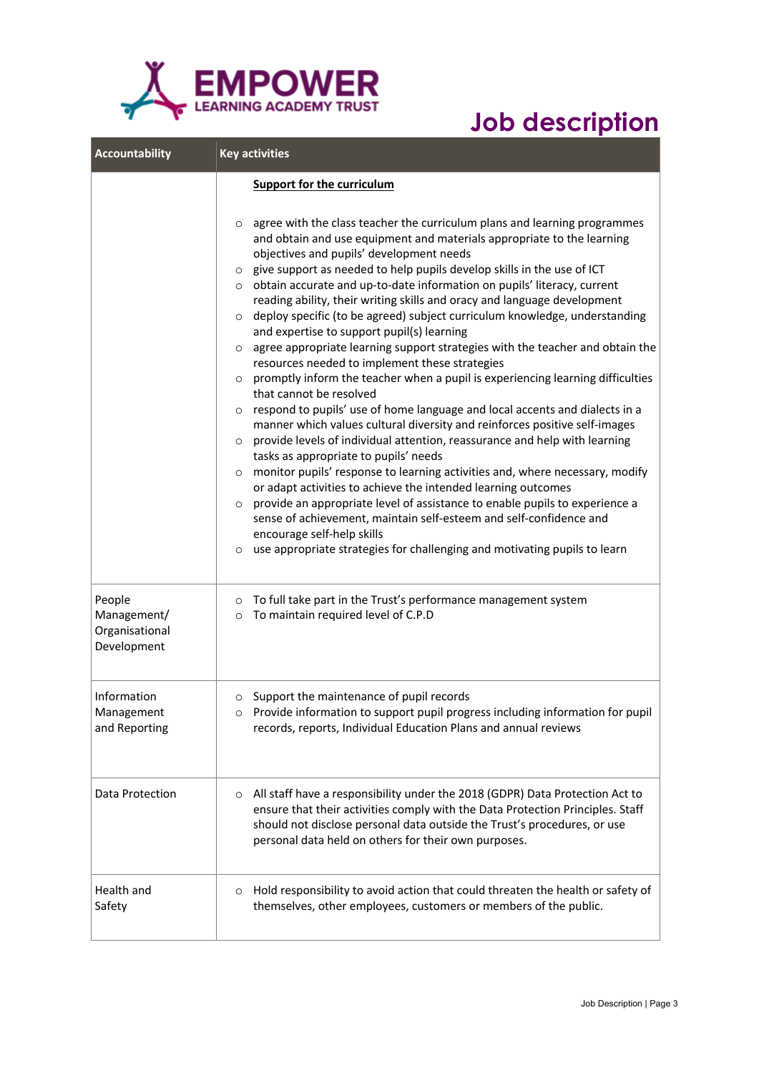

| <b>Accountability</b>                                  | <b>Key activities</b>                                                                                                                                                                                                                                                                                                                                                                                                                                                                                                                                                                                                                                                                                                                                                                                                                                                                                                                                                                                                                                                                                                                                                                                                                                                                                                                                                                                                                                                                                                                                                                                                                              |  |
|--------------------------------------------------------|----------------------------------------------------------------------------------------------------------------------------------------------------------------------------------------------------------------------------------------------------------------------------------------------------------------------------------------------------------------------------------------------------------------------------------------------------------------------------------------------------------------------------------------------------------------------------------------------------------------------------------------------------------------------------------------------------------------------------------------------------------------------------------------------------------------------------------------------------------------------------------------------------------------------------------------------------------------------------------------------------------------------------------------------------------------------------------------------------------------------------------------------------------------------------------------------------------------------------------------------------------------------------------------------------------------------------------------------------------------------------------------------------------------------------------------------------------------------------------------------------------------------------------------------------------------------------------------------------------------------------------------------------|--|
|                                                        | <b>Support for the curriculum</b><br>agree with the class teacher the curriculum plans and learning programmes<br>$\circ$<br>and obtain and use equipment and materials appropriate to the learning<br>objectives and pupils' development needs<br>o give support as needed to help pupils develop skills in the use of ICT<br>o obtain accurate and up-to-date information on pupils' literacy, current<br>reading ability, their writing skills and oracy and language development<br>deploy specific (to be agreed) subject curriculum knowledge, understanding<br>$\circ$<br>and expertise to support pupil(s) learning<br>agree appropriate learning support strategies with the teacher and obtain the<br>$\circ$<br>resources needed to implement these strategies<br>promptly inform the teacher when a pupil is experiencing learning difficulties<br>that cannot be resolved<br>respond to pupils' use of home language and local accents and dialects in a<br>$\circ$<br>manner which values cultural diversity and reinforces positive self-images<br>provide levels of individual attention, reassurance and help with learning<br>$\circ$<br>tasks as appropriate to pupils' needs<br>monitor pupils' response to learning activities and, where necessary, modify<br>$\circ$<br>or adapt activities to achieve the intended learning outcomes<br>provide an appropriate level of assistance to enable pupils to experience a<br>$\circ$<br>sense of achievement, maintain self-esteem and self-confidence and<br>encourage self-help skills<br>use appropriate strategies for challenging and motivating pupils to learn<br>$\circ$ |  |
| People<br>Management/<br>Organisational<br>Development | o To full take part in the Trust's performance management system<br>To maintain required level of C.P.D<br>$\circ$                                                                                                                                                                                                                                                                                                                                                                                                                                                                                                                                                                                                                                                                                                                                                                                                                                                                                                                                                                                                                                                                                                                                                                                                                                                                                                                                                                                                                                                                                                                                 |  |
| Information<br>Management<br>and Reporting             | o Support the maintenance of pupil records<br>$\circ$ Provide information to support pupil progress including information for pupil<br>records, reports, Individual Education Plans and annual reviews                                                                                                                                                                                                                                                                                                                                                                                                                                                                                                                                                                                                                                                                                                                                                                                                                                                                                                                                                                                                                                                                                                                                                                                                                                                                                                                                                                                                                                             |  |
| Data Protection                                        | o All staff have a responsibility under the 2018 (GDPR) Data Protection Act to<br>ensure that their activities comply with the Data Protection Principles. Staff<br>should not disclose personal data outside the Trust's procedures, or use<br>personal data held on others for their own purposes.                                                                                                                                                                                                                                                                                                                                                                                                                                                                                                                                                                                                                                                                                                                                                                                                                                                                                                                                                                                                                                                                                                                                                                                                                                                                                                                                               |  |
| Health and<br>Safety                                   | Hold responsibility to avoid action that could threaten the health or safety of<br>$\circ$<br>themselves, other employees, customers or members of the public.                                                                                                                                                                                                                                                                                                                                                                                                                                                                                                                                                                                                                                                                                                                                                                                                                                                                                                                                                                                                                                                                                                                                                                                                                                                                                                                                                                                                                                                                                     |  |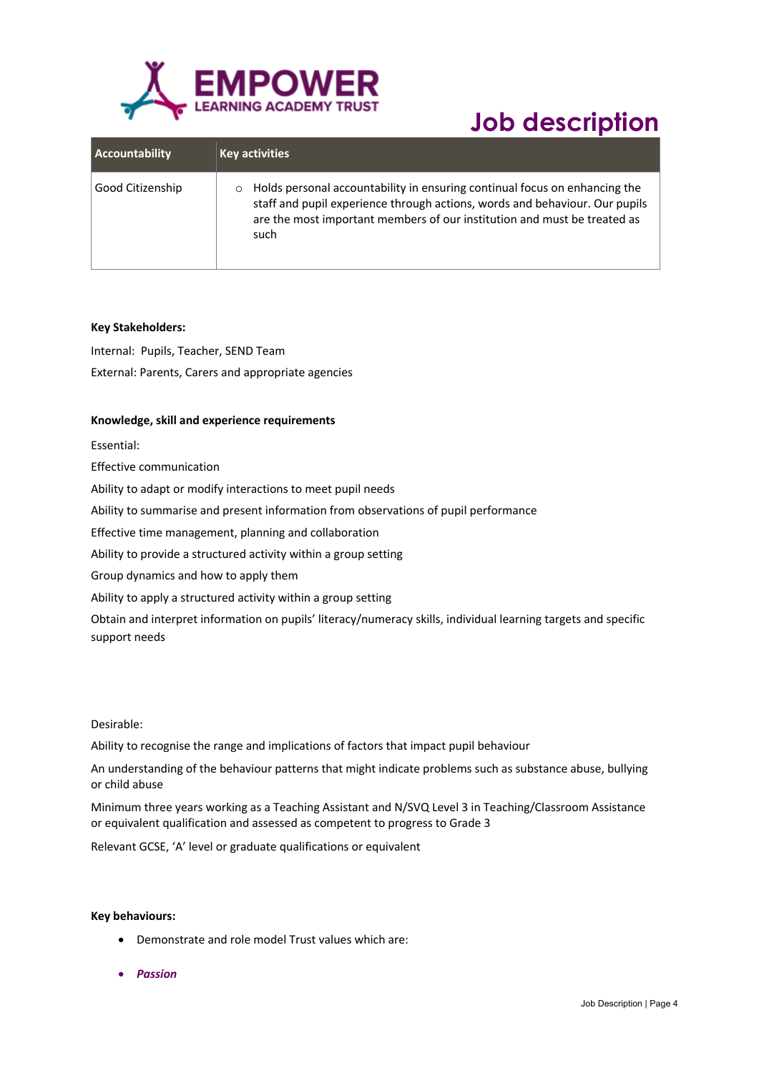

| <b>Accountability</b> | <b>Key activities</b>                                                                                                                                                                                                                                    |
|-----------------------|----------------------------------------------------------------------------------------------------------------------------------------------------------------------------------------------------------------------------------------------------------|
| Good Citizenship      | Holds personal accountability in ensuring continual focus on enhancing the<br>$\circ$<br>staff and pupil experience through actions, words and behaviour. Our pupils<br>are the most important members of our institution and must be treated as<br>such |

### **Key Stakeholders:**

Internal: Pupils, Teacher, SEND Team External: Parents, Carers and appropriate agencies

### **Knowledge, skill and experience requirements**

Essential:

Effective communication

Ability to adapt or modify interactions to meet pupil needs

Ability to summarise and present information from observations of pupil performance

Effective time management, planning and collaboration

Ability to provide a structured activity within a group setting

Group dynamics and how to apply them

Ability to apply a structured activity within a group setting

Obtain and interpret information on pupils' literacy/numeracy skills, individual learning targets and specific support needs

### Desirable:

Ability to recognise the range and implications of factors that impact pupil behaviour

An understanding of the behaviour patterns that might indicate problems such as substance abuse, bullying or child abuse

Minimum three years working as a Teaching Assistant and N/SVQ Level 3 in Teaching/Classroom Assistance or equivalent qualification and assessed as competent to progress to Grade 3

Relevant GCSE, 'A' level or graduate qualifications or equivalent

#### **Key behaviours:**

- Demonstrate and role model Trust values which are:
- *Passion*